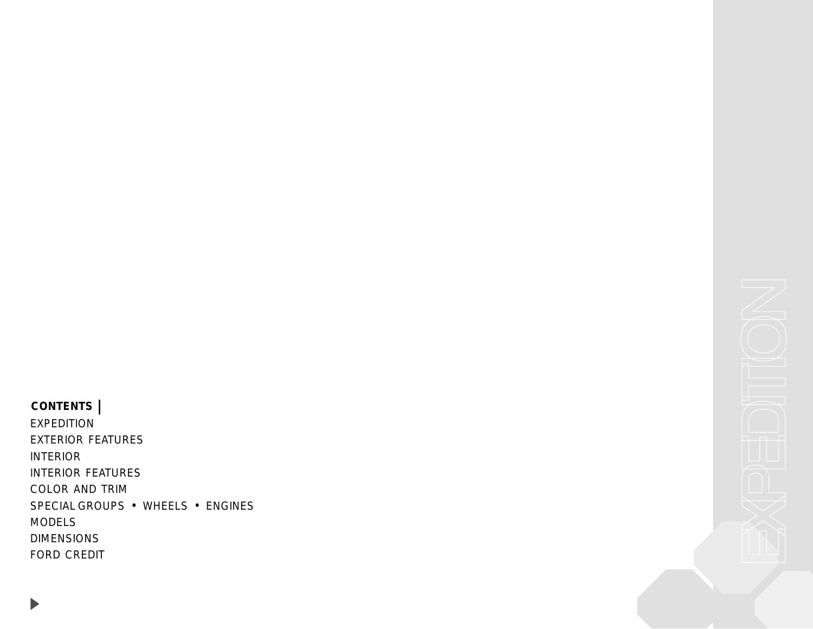<span id="page-0-0"></span>**CONTENTS |** [EXPEDITION](#page-1-0) [EXTERIOR FEATURES](#page-2-0) [INTERIOR](#page-3-0) [INTERIOR FEATURES](#page-4-0) [COLOR AND TRIM](#page-5-0) [SPECIAL GROUPS](#page-6-0) • WHEELS • ENGINES [MODELS](#page-8-0) [DIMENSIONS](#page-9-0) [FORD CREDIT](#page-10-0)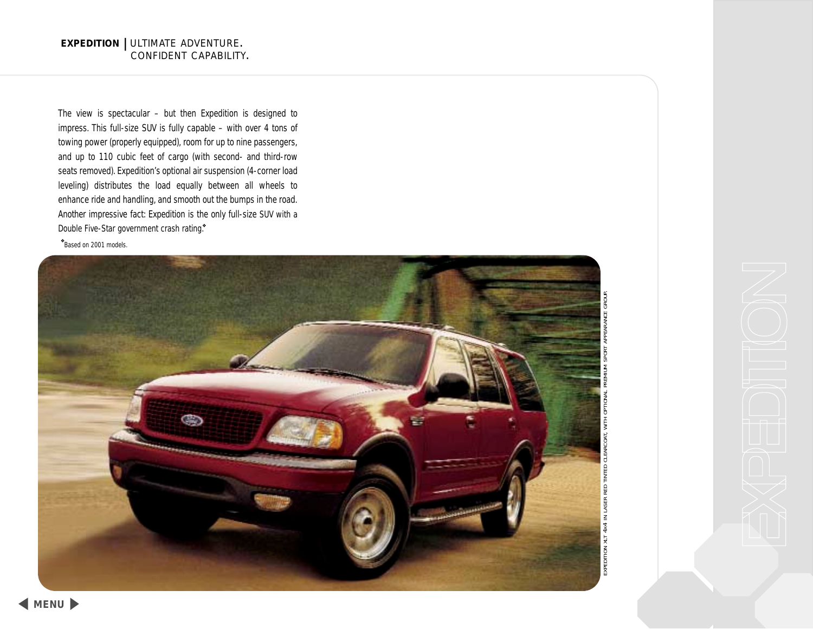<span id="page-1-0"></span>The view is spectacular – but then Expedition is designed to impress. This full-size SUV is fully capable – with over 4 tons of towing power (properly equipped), room for up to nine passengers, and up to 110 cubic feet of cargo (with second- and third-row seats removed). Expedition's optional air suspension (4-corner load leveling) distributes the load equally between all wheels to enhance ride and handling, and smooth out the bumps in the road. Another impressive fact: Expedition is the only full-size SUV with a Double Five-Star government crash rating.\*

❖ *Based on 2001 models.*

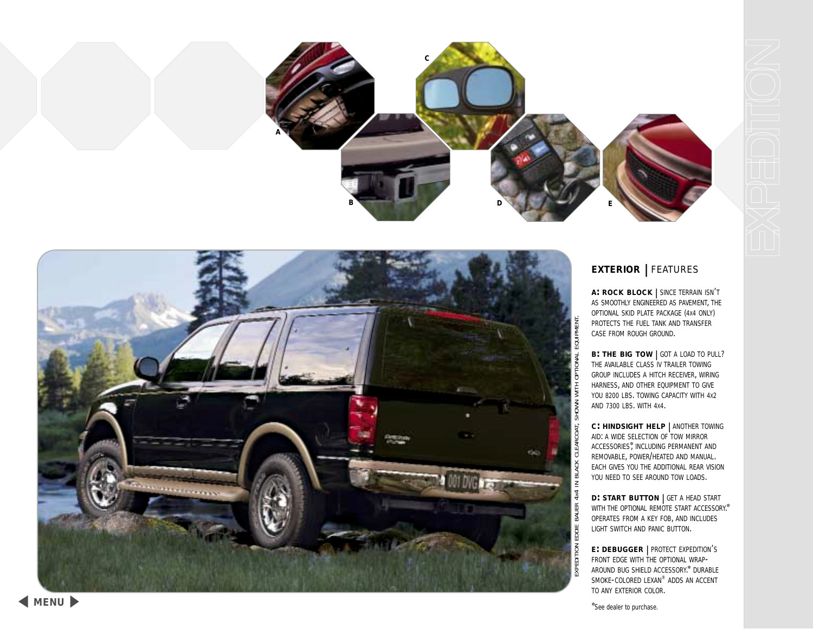<span id="page-2-0"></span>



# **EXTERIOR |** FEATURES

**A: ROCK BLOCK |** SINCE TERRAIN ISN' T AS SMOOTHLY ENGINEERED AS PAVEMENT, THE OPTIONAL SKID PLATE PACKAGE (4X4 ONLY) PROTECTS THE FUEL TANK AND TRANSFER CASE FROM ROUGH GROUND.

**B: THE BIG TOW |** GOT A LOAD TO PULL? THE AVAILABLE CLASS IV TRAILER TOWING GROUP INCLUDES A HITCH RECEIVER, WIRING HARNESS, AND OTHER EQUIPMENT TO GIVE YOU 8200 LBS. TOWING CAPACITY WITH 4x2 AND 7300 LBS. WITH 4X4.

**C: HINDSIGHT HELP |** ANOTHER TOWING AID: A WIDE SELECTION OF TOW MIRROR ACCESSORIES✲, INCLUDING PERMANENT AND REMOVABLE, POWER/HEATED AND MANUAL. EACH GIVES YOU THE ADDITIONAL REAR VISION YOU NEED TO SEE AROUND TOW LOADS.

**D: START BUTTON |** GET A HEAD START WITH THE OPTIONAL REMOTE START ACCESSORY.<sup>\*</sup> OPERATES FROM A KEY FOB, AND INCLUDES LIGHT SWITCH AND PANIC BUTTON.

**E: DEBUGGER |** PROTECT EXPEDITION' S FRONT EDGE WITH THE OPTIONAL WRAP-AROUND BUG SHIELD ACCESSORY.✲ DURABLE SMOKE-COLORED LEXAN® ADDS AN ACCENT TO ANY EXTERIOR COLOR.

✲ *See dealer to purchase.*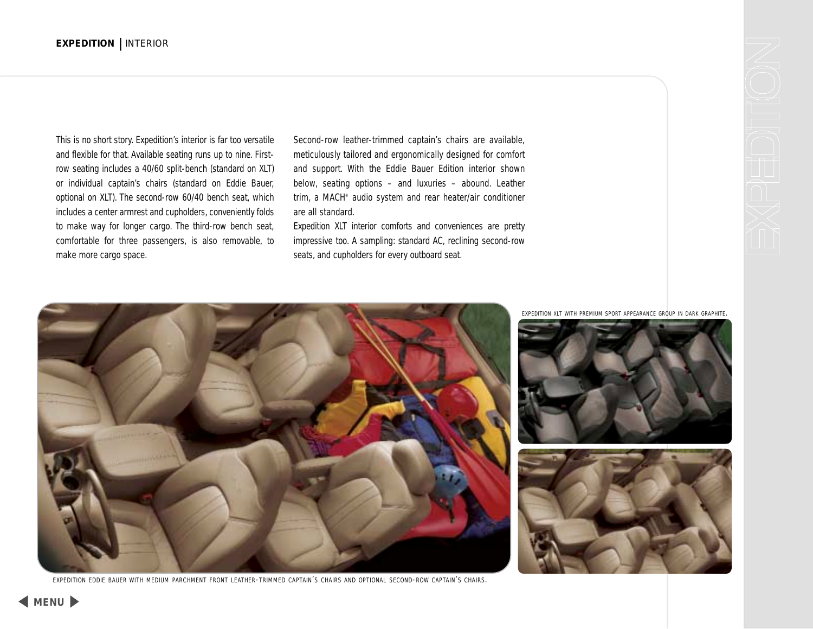<span id="page-3-0"></span>This is no short story. Expedition's interior is far too versatile and flexible for that. Available seating runs up to nine. Firstrow seating includes a 40/60 split-bench (standard on XLT) or individual captain's chairs (standard on Eddie Bauer, optional on XLT). The second-row 60/40 bench seat, which includes a center armrest and cupholders, conveniently folds to make way for longer cargo. The third-row bench seat, comfortable for three passengers, is also removable, to make more cargo space.

Second-row leather-trimmed captain's chairs are available, meticulously tailored and ergonomically designed for comfort and support. With the Eddie Bauer Edition interior shown below, seating options – and luxuries – abound. Leather trim, a MACH® audio system and rear heater/air conditioner are all standard.

Expedition XLT interior comforts and conveniences are pretty impressive too. A sampling: standard AC, reclining second-row seats, and cupholders for every outboard seat.



EXPEDITION EDDIE BAUER WITH MEDIUM PARCHMENT FRONT LEATHER-TRIMMED CAPTAIN'S CHAIRS AND OPTIONAL SECOND-ROW CAPTAIN'S CHAIRS.

EXPEDITION XLT WITH PREMIUM SPORT APPEARANCE GROUP IN DARK GRAPHITE.



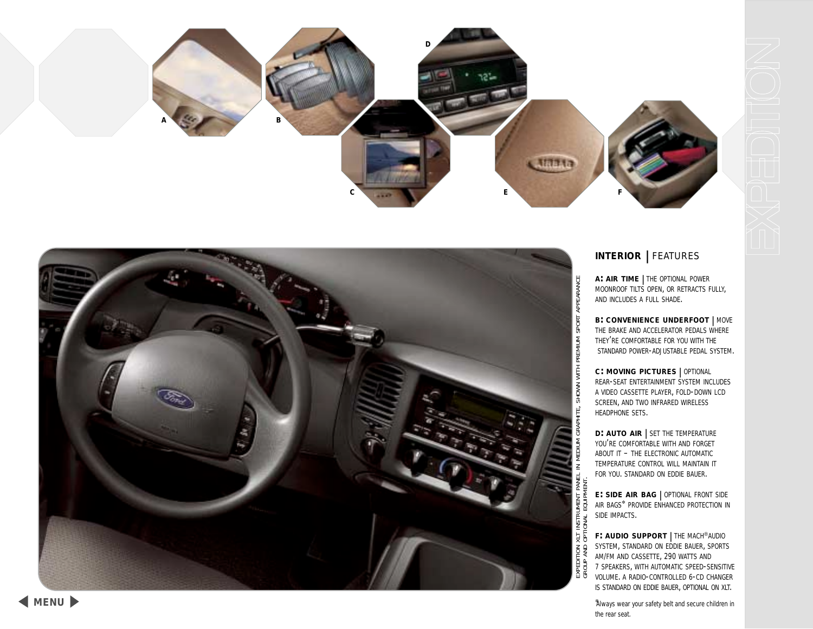<span id="page-4-0"></span>



# **INTERIOR |** FEATURES

**A: AIR TIME |** THE OPTIONAL POWER MOONROOF TILTS OPEN, OR RETRACTS FULLY, AND INCLUDES A FULL SHADE.

**B: CONVENIENCE UNDERFOOT |** MOVE THE BRAKE AND ACCELERATOR PEDALS WHERE THEY'RE COMFORTABLE FOR YOU WITH THE STANDARD POWER-ADJUSTABLE PEDAL SYSTEM.

**C: MOVING PICTURES |** OPTIONAL REAR-SEAT ENTERTAINMENT SYSTEM INCLUDES A VIDEO CASSETTE PLAYER, FOLD-DOWN LCD SCREEN, AND TWO INFRARED WIRELESS HEADPHONE SETS.

**D: AUTO AIR |** SET THE TEMPERATURE YOU'RE COMFORTABLE WITH AND FORGET ABOUT IT – THE ELECTRONIC AUTOMATIC TEMPERATURE CONTROL WILL MAINTAIN IT FOR YOU. STANDARD ON EDDIE BAUER.

EXPEDITION XLT INSTRUMENT PANEL IN MEDIUM GRAPHITE, SHOWN WITH PREMIUM SPORT APPEARANCE

GROUP AND OPTIONAL EQUIPMENT.

IPMEN ᇹ

**E: SIDE AIR BAG |** OPTIONAL FRONT SIDE AIR BAGS✲ PROVIDE ENHANCED PROTECTION IN SIDE IMPACTS.

**F: AUDIO SUPPORT |** THE MACH®AUDIO SYSTEM, STANDARD ON EDDIE BAUER, SPORTS AM/FM AND CASSETTE, 290 WATTS AND 7 SPEAKERS, WITH AUTOMATIC SPEED-SENSITIVE VOLUME. A RADIO-CONTROLLED 6-CD CHANGER IS STANDARD ON EDDIE BAUER, OPTIONAL ON XLT.

✲ *Always wear your safety belt and secure children in the rear seat.*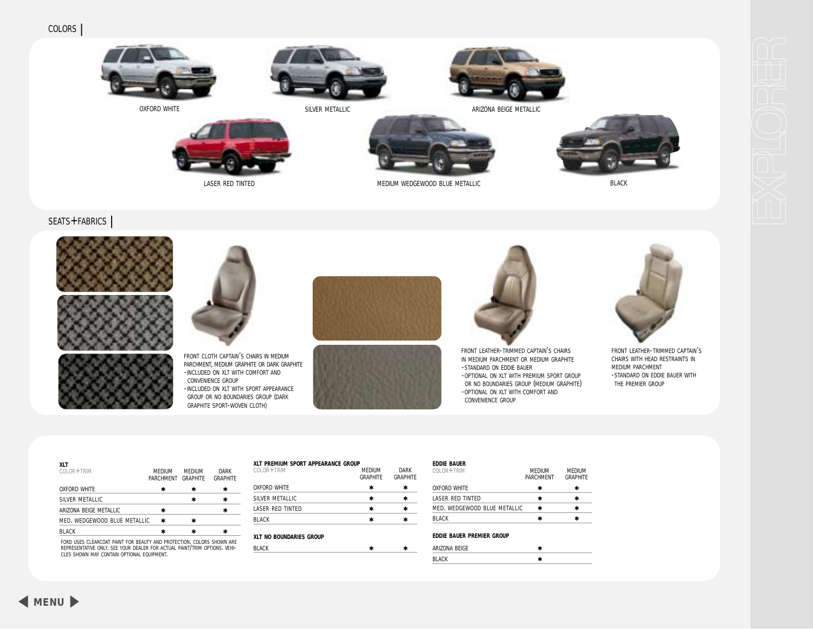<span id="page-5-0"></span>

OXFORD WHITE





SILVER METALLIC ARIZONA BEIGE METALLIC



MEDIUM WEDGEWOOD BLUE METALLIC BLACK

# SEATS+FABRICS **|**







LASER RED TINTED

FRONT CLOTH CAPTAIN'S CHAIRS IN MEDIUM PARCHMENT, MEDIUM GRAPHITE OR DARK GRAPHITE -INCLUDED ON XLT WITH COMFORT AND CONVENIENCE GROUP -INCLUDED ON XLT WITH SPORT APPEARANCE GROUP OR NO BOUNDARIES GROUP (DARK GRAPHITE SPORT-WOVEN CLOTH)







FRONT LEATHER-TRIMMED CAPTAIN'S CHAIRS IN MEDIUM PARCHMENT OR MEDIUM GRAPHITE -STANDARD ON EDDIE BAUER -OPTIONAL ON XLT WITH PREMIUM SPORT GROUP OR NO BOUNDARIES GROUP (MEDIUM GRAPHITE) -OPTIONAL ON XLT WITH COMFORT AND CONVENIENCE GROUP



FRONT LEATHER-TRIMMED CAPTAIN'S CHAIRS WITH HEAD RESTRAINTS IN MEDIUM PARCHMENT -STANDARD ON EDDIE BAUER WITH THE PREMIER GROUP

| XLT<br>$COI$ $OR + TRIM$     | <b>MFDIUM</b><br>PARCHMENT GRAPHITE | MEDIUM | <b>DARK</b><br><b>GRAPHITE</b> |
|------------------------------|-------------------------------------|--------|--------------------------------|
| <b>OXFORD WHITE</b>          | ⊁                                   |        | ∗                              |
| SILVER METALLIC              |                                     | ×      | ⊁                              |
| ARIZONA BEIGE METALLIC       |                                     |        |                                |
| MED. WEDGEWOOD BLUE METALLIC | ∗                                   |        |                                |
| <b>BI ACK</b>                | ×                                   |        |                                |
|                              |                                     |        |                                |

FORD USES CLEARCOAT PAINT FOR BEAUTY AND PROTECTION. COLORS SHOWN ARE<br>REPRESENTATIVE ONLY. SEE YOUR DEALER FOR ACTUAL PAINT/TRIM OPTIONS. VEHI-<br>CLES SHOWN MAY CONTAIN OPTIONAL EQUIPMENT.

| $C0$ OR + TRIM          | <b>MFDIUM</b><br><b>GRAPHITF</b> | <b>DARK</b><br><b>GRAPHITE</b> |
|-------------------------|----------------------------------|--------------------------------|
| <b>OXFORD WHITE</b>     | ⊁                                | ⊁                              |
| SILVER METALLIC         | ⊁                                | ∗                              |
| LASER RED TINTED        | ∗                                | ∗                              |
| <b>BI ACK</b>           | ⊁                                | ⊁                              |
| XLT NO BOUNDARIES GROUP |                                  |                                |
| <b>BI ACK</b>           |                                  |                                |

| <b>MEDIUM</b><br><b>PARCHMENT</b> | <b>MEDIUM</b><br><b>GRAPHITE</b> |
|-----------------------------------|----------------------------------|
| ⊁                                 |                                  |
| ∗                                 |                                  |
| MED. WEDGEWOOD BLUE METALLIC<br>⊁ |                                  |
|                                   |                                  |
|                                   |                                  |

### **EDDIE BAUER PREMIER GROUP**

| ARIZONA BEIGE |  |
|---------------|--|
| <b>BLACK</b>  |  |

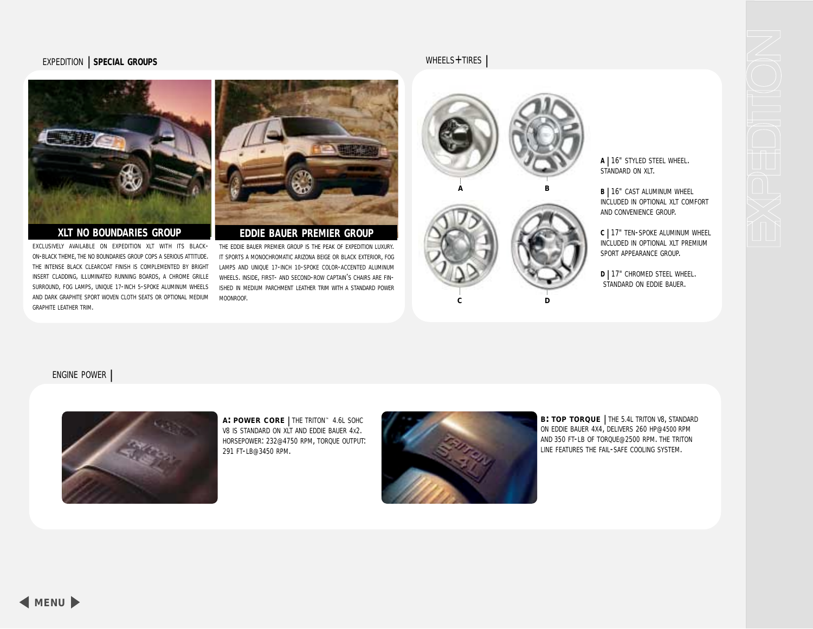# <span id="page-6-0"></span>EXPEDITION **| SPECIAL GROUPS**



## **XLT NO BOUNDARIES GROUP**

EXCLUSIVELY AVAILABLE ON EXPEDITION XLT WITH ITS BLACK-ON-BLACK THEME, THE NO BOUNDARIES GROUP COPS A SERIOUS ATTITUDE. THE INTENSE BLACK CLEARCOAT FINISH IS COMPLEMENTED BY BRIGHT INSERT CLADDING, ILLUMINATED RUNNING BOARDS, A CHROME GRILLE SURROUND, FOG LAMPS, UNIQUE 17-INCH 5-SPOKE ALUMINUM WHEELS AND DARK GRAPHITE SPORT WOVEN CLOTH SEATS OR OPTIONAL MEDIUM GRAPHITE LEATHER TRIM.



# **EDDIE BAUER PREMIER GROUP**

THE EDDIE BAUER PREMIER GROUP IS THE PEAK OF EXPEDITION LUXURY. IT SPORTS A MONOCHROMATIC ARIZONA BEIGE OR BLACK EXTERIOR, FOG LAMPS AND UNIQUE 17-INCH 10-SPOKE COLOR-ACCENTED ALUMINUM WHEELS. INSIDE, FIRST- AND SECOND-ROW CAPTAIN'S CHAIRS ARE FIN-ISHED IN MEDIUM PARCHMENT LEATHER TRIM WITH A STANDARD POWER MOONROOF.



WHEELS+TIRES **|**

**<sup>A</sup> |** 16" STYLED STEEL WHEEL. STANDARD ON XLT.

**B |** 16" CAST ALUMINUM WHEEL INCLUDED IN OPTIONAL XLT COMFORT AND CONVENIENCE GROUP.

**<sup>C</sup> |** 17" TEN-SPOKE ALUMINUM WHEEL INCLUDED IN OPTIONAL XLT PREMIUM SPORT APPEARANCE GROUP.

**<sup>D</sup> |** 17" CHROMED STEEL WHEEL. STANDARD ON EDDIE BAUER.

## ENGINE POWER **|**



**A: POWER CORE |** THE TRITON™ 4.6L SOHC V8 IS STANDARD ON XLT AND EDDIE BAUER 4X2. HORSEPOWER: 232@4750 RPM, TORQUE OUTPUT: 291 FT-LB@3450 RPM.



**B: TOP TORQUE |** THE 5.4L TRITON V8, STANDARD ON EDDIE BAUER 4X4, DELIVERS 260 HP@4500 RPM AND 350 FT-LB OF TORQUE@2500 RPM. THE TRITON LINE FEATURES THE FAIL-SAFE COOLING SYSTEM.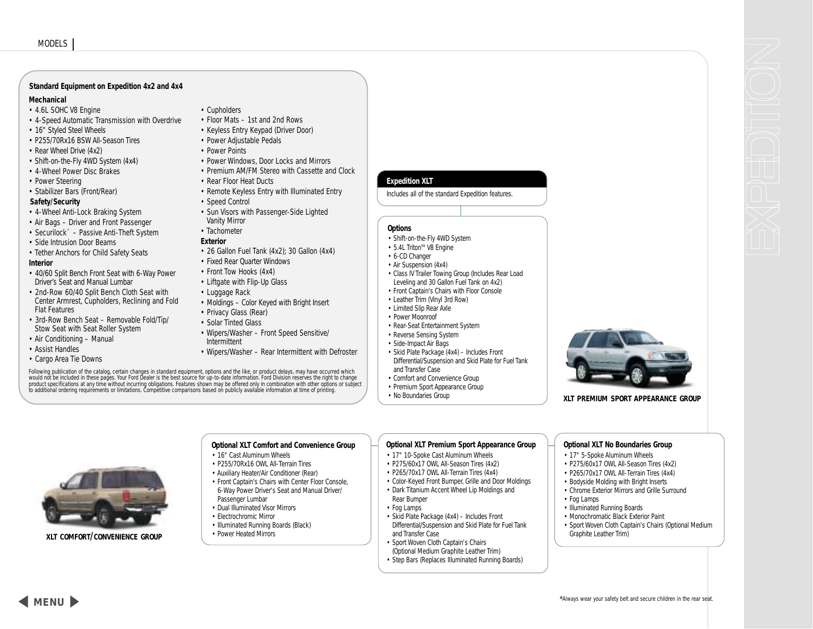### **Standard Equipment on Expedition 4x2 and 4x4**

### **Mechanical**

- 4.6L SOHC V8 Engine
- 4-Speed Automatic Transmission with Overdrive
- 16" Styled Steel Wheels
- P255/70Rx16 BSW All-Season Tires
- Rear Wheel Drive (4x2)
- Shift-on-the-Fly 4WD System (4x4)
- 4-Wheel Power Disc Brakes
- Power Steering
- Stabilizer Bars (Front/Rear)

### **Safety/Security**

- 4-Wheel Anti-Lock Braking System
- Air Bags Driver and Front Passenger
- Securilock™ Passive Anti-Theft System
- Side Intrusion Door Beams
- Tether Anchors for Child Safety Seats

### **Interior**

- 40/60 Split Bench Front Seat with 6-Way Power Driver's Seat and Manual Lumbar
- 2nd-Row 60/40 Split Bench Cloth Seat with Center Armrest, Cupholders, Reclining and Fold Flat Features
- 3rd-Row Bench Seat Removable Fold/Tip/ Stow Seat with Seat Roller System
- Air Conditioning Manual
- Assist Handles
- Cargo Area Tie Downs
- Cupholders
- Floor Mats 1st and 2nd Rows
- Keyless Entry Keypad (Driver Door)
- Power Adjustable Pedals
- Power Points
- Power Windows, Door Locks and Mirrors
- Premium AM/FM Stereo with Cassette and Clock
- Rear Floor Heat Ducts
- Remote Keyless Entry with Illuminated Entry
- Speed Control
- Sun Visors with Passenger-Side Lighted Vanity Mirror
- Tachometer

### **Exterior**

- 26 Gallon Fuel Tank (4x2); 30 Gallon (4x4)
- Fixed Rear Quarter Windows
- Front Tow Hooks (4x4)
- Liftgate with Flip-Up Glass
- Luggage Rack
- Moldings Color Keyed with Bright Insert
- Privacy Glass (Rear)
- Solar Tinted Glass
- Wipers/Washer Front Speed Sensitive/ Intermittent
- Wipers/Washer Rear Intermittent with Defroster

**Optional XLT Comfort and Convenience Group**

• 16" Cast Aluminum Wheels • P255/70Rx16 OWL All-Terrain Tires • Auxiliary Heater/Air Conditioner (Rear) • Front Captain's Chairs with Center Floor Console, 6-Way Power Driver's Seat and Manual Driver/

Passenger Lumbar • Dual Illuminated Visor Mirrors • Electrochromic Mirror • Illuminated Running Boards (Black) • Power Heated Mirrors

Following publication of the catalog, certain changes in standard equipment, options and the like, or product delays, may have occurred which<br>would not be included in these pages. Your Ford Dealer is the best source for up to additional ordering requirements or limitations. Competitive comparisons based on publicly available information at time of printing.

## **Expedition XLT**

Includes all of the standard Expedition features.

## **Options**

- Shift-on-the-Fly 4WD System
- 5.4L Triton™ V8 Engine
- 6-CD Changer
- Air Suspension (4x4)
- Class IV Trailer Towing Group (Includes Rear Load Leveling and 30 Gallon Fuel Tank on 4x2)
- Front Captain's Chairs with Floor Console
- Leather Trim (Vinyl 3rd Row)
- Limited Slip Rear Axle
- Power Moonroof
- Rear-Seat Entertainment System
- Reverse Sensing System
- Side-Impact Air Bags
- Skid Plate Package (4x4) Includes Front Differential/Suspension and Skid Plate for Fuel Tank and Transfer Case
- Comfort and Convenience Group
- Premium Sport Appearance Group
- No Boundaries Group

**XLT PREMIUM SPORT APPEARANCE GROUP**

**XLT COMFORT/CONVENIENCE GROUP**

## **Optional XLT Premium Sport Appearance Group**

- 17" 10-Spoke Cast Aluminum Wheels
	- P275/60x17 OWL All-Season Tires (4x2)
	- P265/70x17 OWL All-Terrain Tires (4x4)
	- Color-Keyed Front Bumper, Grille and Door Moldings
	- Dark Titanium Accent Wheel Lip Moldings and
	- Rear Bumper
	- Fog Lamps
	- Skid Plate Package (4x4) Includes Front Differential/Suspension and Skid Plate for Fuel Tank and Transfer Case
	- Sport Woven Cloth Captain's Chairs (Optional Medium Graphite Leather Trim)
	- Step Bars (Replaces Illuminated Running Boards)

## **Optional XLT No Boundaries Group**

## • 17" 5-Spoke Aluminum Wheels

- P275/60x17 OWL All-Season Tires (4x2)
- P265/70x17 OWL All-Terrain Tires (4x4)
- Bodyside Molding with Bright Inserts
- Chrome Exterior Mirrors and Grille Surround • Fog Lamps
- 
- Illuminated Running Boards • Monochromatic Black Exterior Paint
- Sport Woven Cloth Captain's Chairs (Optional Medium
- Graphite Leather Trim)



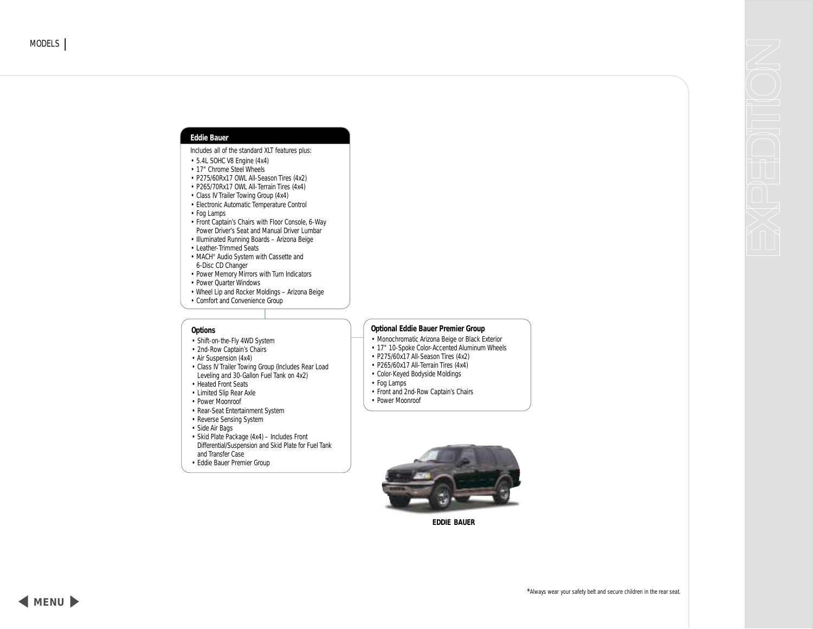### <span id="page-8-0"></span>**Eddie Bauer**

Includes all of the standard XLT features plus:

- 5.4L SOHC V8 Engine (4x4)
- 17" Chrome Steel Wheels
- P275/60Rx17 OWL All-Season Tires (4x2)
- P265/70Rx17 OWL All-Terrain Tires (4x4)
- Class IV Trailer Towing Group (4x4)
- Electronic Automatic Temperature Control
- Fog Lamps
- Front Captain's Chairs with Floor Console, 6-Way Power Driver's Seat and Manual Driver Lumbar
- Illuminated Running Boards Arizona Beige
- Leather-Trimmed Seats
- MACH® Audio System with Cassette and 6-Disc CD Changer
- Power Memory Mirrors with Turn Indicators
- Power Quarter Windows
- Wheel Lip and Rocker Moldings Arizona Beige
- Comfort and Convenience Group

### **Options**

- Shift-on-the-Fly 4WD System
- 2nd-Row Captain's Chairs
- Air Suspension (4x4)
- Class IV Trailer Towing Group (Includes Rear Load Leveling and 30-Gallon Fuel Tank on 4x2)
- Heated Front Seats
- Limited Slip Rear Axle
- Power Moonroof
- Rear-Seat Entertainment System
- Reverse Sensing System

• Side Air Bags

- Skid Plate Package (4x4) Includes Front Differential/Suspension and Skid Plate for Fuel Tank and Transfer Case
- Eddie Bauer Premier Group

## **Optional Eddie Bauer Premier Group**

- Monochromatic Arizona Beige or Black Exterior
- 17" 10-Spoke Color-Accented Aluminum Wheels
- P275/60x17 All-Season Tires (4x2)
- P265/60x17 All-Terrain Tires (4x4)
- Color-Keyed Bodyside Moldings
- Fog Lamps
- Front and 2nd-Row Captain's Chairs
- Power Moonroof



**EDDIE BAUER**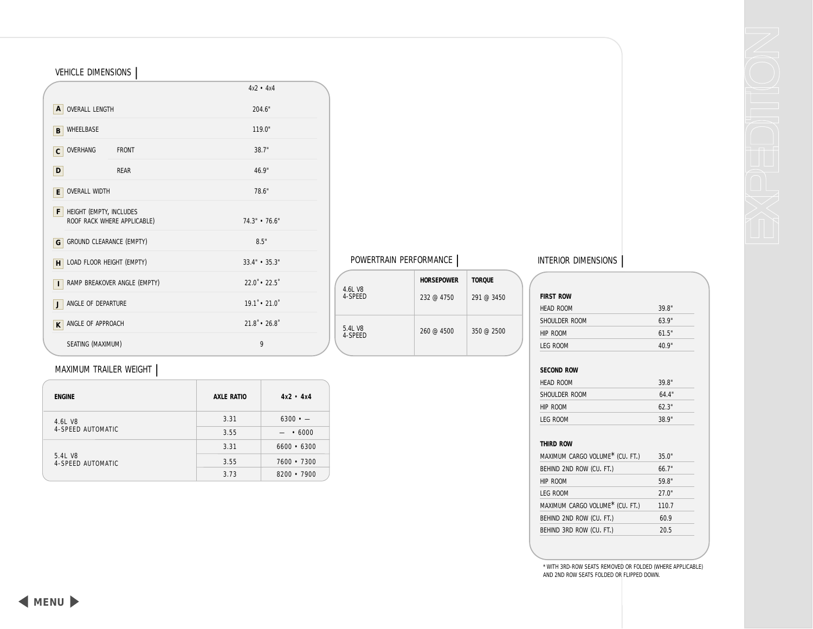|                                       |                             | $4x2 - 4x4$                      |
|---------------------------------------|-----------------------------|----------------------------------|
| <b>OVERALL LENGTH</b><br>$\mathsf{A}$ |                             | 204.6"                           |
| WHEELBASE<br>B                        |                             | 119.0"                           |
| OVERHANG<br>$\mathbf{C}$              | <b>FRONT</b>                | 38.7"                            |
| D                                     | <b>RFAR</b>                 | 46.9"                            |
| <b>OVERALL WIDTH</b><br>E             |                             | 78.6"                            |
| HEIGHT (EMPTY, INCLUDES<br>F          | ROOF RACK WHERE APPLICABLE) | 74.3" • 76.6"                    |
| GROUND CLEARANCE (EMPTY)<br>G         |                             | 8.5"                             |
| LOAD FLOOR HEIGHT (EMPTY)<br>H        |                             | $33.4" \cdot 35.3"$              |
| RAMP BREAKOVER ANGLE (EMPTY)<br>T     |                             | $22.0^{\circ}$ • 22.5 $^{\circ}$ |
| ANGLE OF DEPARTURE<br>J               |                             | $19.1 \cdot 21.0$                |
| ANGLE OF APPROACH<br>K                |                             | $21.8 \cdot 26.8$                |
| SEATING (MAXIMUM)                     |                             | 9                                |

|                    | <b>HORSEPOWER</b> | <b>TOROUE</b> |
|--------------------|-------------------|---------------|
| 4.6L V8<br>4-SPFFD | 232@4750          | 291@3450      |
| 5.4L V8<br>4-SPFFD | $260 \ @ 4500$    | 350 @ 2500    |

# MAXIMUM TRAILER WEIGHT **|**

<span id="page-9-0"></span>VEHICLE DIMENSIONS **|**

| <b>ENGINE</b>                | <b>AXLE RATIO</b> | $4x2 - 4x4$       |
|------------------------------|-------------------|-------------------|
| 4.6L V8                      | 3.31              | $6300 \cdot -$    |
| 4-SPEED AUTOMATIC            | 3.55              | .6000             |
|                              | 3.31              | $6600 \cdot 6300$ |
| 5.4L V8<br>4-SPEED AUTOMATIC | 3.55              | $7600 \cdot 7300$ |
|                              | 3.73              | $8200 \cdot 7900$ |

# POWERTRAIN PERFORMANCE **|** INTERIOR DIMENSIONS **|**

| <b>FIRST ROW</b>  |       |
|-------------------|-------|
| <b>HFAD ROOM</b>  | 39.8" |
| SHOULDER ROOM     | 63.9" |
| HIP ROOM          | 61.5" |
| LFG ROOM          | 40.9" |
| <b>SECOND ROW</b> |       |
| <b>HFAD ROOM</b>  | 39.8" |
| SHOULDER ROOM     | 64.4" |
|                   | 62.3" |
| HIP ROOM          |       |

## **THIRD ROW**

| MAXIMUM CARGO VOLUME <sup>*</sup> (CU. FT.) | 35.0" |
|---------------------------------------------|-------|
| BEHIND 2ND ROW (CU. FT.)                    | 66.7" |
| HIP ROOM                                    | 59.8" |
| LFG ROOM                                    | 27.0" |
| MAXIMUM CARGO VOLUME <sup>*</sup> (CU. FT.) | 110.7 |
| BEHIND 2ND ROW (CU. FT.)                    | 60.9  |
| BEHIND 3RD ROW (CU. FT.)                    | 20.5  |

\* WITH 3RD-ROW SEATS REMOVED OR FOLDED (WHERE APPLICABLE) AND 2ND ROW SEATS FOLDED OR FLIPPED DOWN.